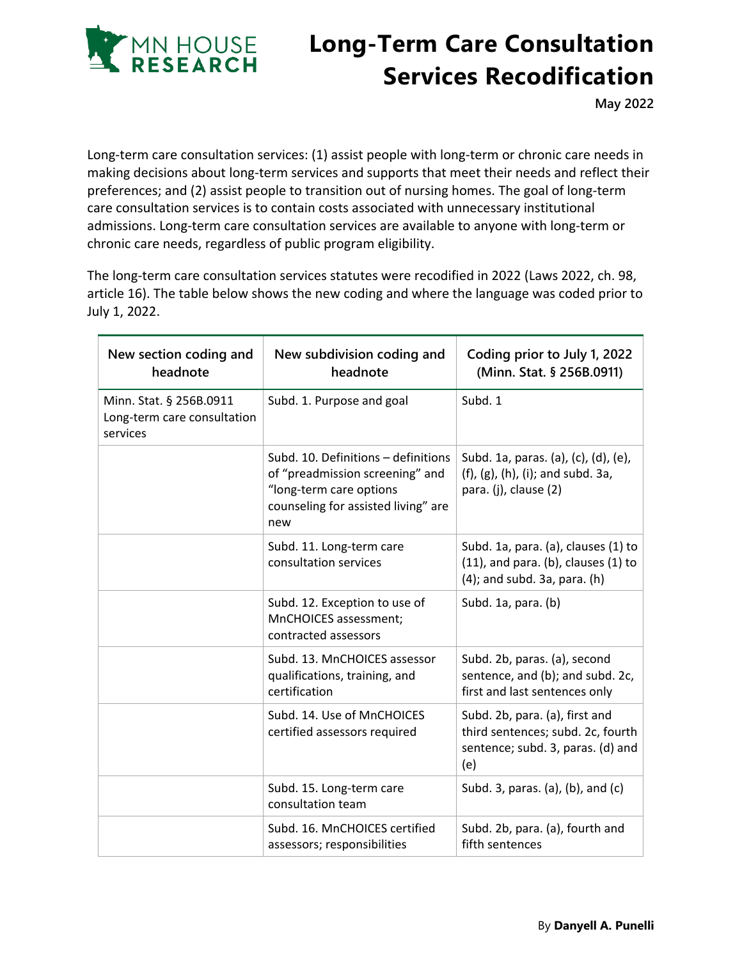

## **Long-Term Care Consultation Services Recodification**

**May 2022**

Long-term care consultation services: (1) assist people with long-term or chronic care needs in making decisions about long-term services and supports that meet their needs and reflect their preferences; and (2) assist people to transition out of nursing homes. The goal of long-term care consultation services is to contain costs associated with unnecessary institutional admissions. Long-term care consultation services are available to anyone with long-term or chronic care needs, regardless of public program eligibility.

The long-term care consultation services statutes were recodified in 2022 (Laws 2022, ch. 98, article 16). The table below shows the new coding and where the language was coded prior to July 1, 2022.

| New section coding and<br>headnote                                 | New subdivision coding and<br>headnote                                                                                                          | Coding prior to July 1, 2022<br>(Minn. Stat. § 256B.0911)                                                            |
|--------------------------------------------------------------------|-------------------------------------------------------------------------------------------------------------------------------------------------|----------------------------------------------------------------------------------------------------------------------|
| Minn. Stat. § 256B.0911<br>Long-term care consultation<br>services | Subd. 1. Purpose and goal                                                                                                                       | Subd. 1                                                                                                              |
|                                                                    | Subd. 10. Definitions - definitions<br>of "preadmission screening" and<br>"long-term care options<br>counseling for assisted living" are<br>new | Subd. 1a, paras. (a), (c), (d), (e),<br>$(f)$ , $(g)$ , $(h)$ , $(i)$ ; and subd. 3a,<br>para. (j), clause (2)       |
|                                                                    | Subd. 11. Long-term care<br>consultation services                                                                                               | Subd. 1a, para. (a), clauses (1) to<br>$(11)$ , and para. (b), clauses $(1)$ to<br>$(4)$ ; and subd. 3a, para. $(h)$ |
|                                                                    | Subd. 12. Exception to use of<br>MnCHOICES assessment;<br>contracted assessors                                                                  | Subd. 1a, para. (b)                                                                                                  |
|                                                                    | Subd. 13. MnCHOICES assessor<br>qualifications, training, and<br>certification                                                                  | Subd. 2b, paras. (a), second<br>sentence, and (b); and subd. 2c,<br>first and last sentences only                    |
|                                                                    | Subd. 14. Use of MnCHOICES<br>certified assessors required                                                                                      | Subd. 2b, para. (a), first and<br>third sentences; subd. 2c, fourth<br>sentence; subd. 3, paras. (d) and<br>(e)      |
|                                                                    | Subd. 15. Long-term care<br>consultation team                                                                                                   | Subd. 3, paras. (a), (b), and (c)                                                                                    |
|                                                                    | Subd. 16. MnCHOICES certified<br>assessors; responsibilities                                                                                    | Subd. 2b, para. (a), fourth and<br>fifth sentences                                                                   |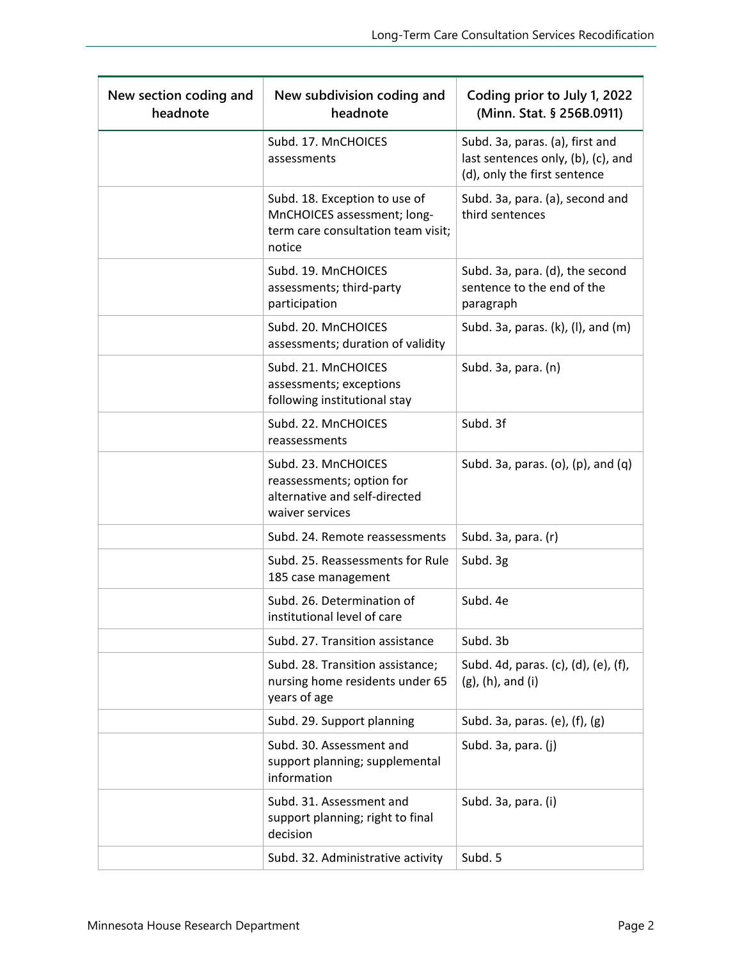| New section coding and<br>headnote | New subdivision coding and<br>headnote                                                                       | Coding prior to July 1, 2022<br>(Minn. Stat. § 256B.0911)                                             |
|------------------------------------|--------------------------------------------------------------------------------------------------------------|-------------------------------------------------------------------------------------------------------|
|                                    | Subd. 17. MnCHOICES<br>assessments                                                                           | Subd. 3a, paras. (a), first and<br>last sentences only, (b), (c), and<br>(d), only the first sentence |
|                                    | Subd. 18. Exception to use of<br>MnCHOICES assessment; long-<br>term care consultation team visit;<br>notice | Subd. 3a, para. (a), second and<br>third sentences                                                    |
|                                    | Subd. 19. MnCHOICES<br>assessments; third-party<br>participation                                             | Subd. 3a, para. (d), the second<br>sentence to the end of the<br>paragraph                            |
|                                    | Subd. 20. MnCHOICES<br>assessments; duration of validity                                                     | Subd. 3a, paras. (k), (l), and (m)                                                                    |
|                                    | Subd. 21. MnCHOICES<br>assessments; exceptions<br>following institutional stay                               | Subd. 3a, para. (n)                                                                                   |
|                                    | Subd. 22. MnCHOICES<br>reassessments                                                                         | Subd. 3f                                                                                              |
|                                    | Subd. 23. MnCHOICES<br>reassessments; option for<br>alternative and self-directed<br>waiver services         | Subd. 3a, paras. (o), (p), and (q)                                                                    |
|                                    | Subd. 24. Remote reassessments                                                                               | Subd. 3a, para. (r)                                                                                   |
|                                    | Subd. 25. Reassessments for Rule<br>185 case management                                                      | Subd. 3g                                                                                              |
|                                    | Subd. 26. Determination of<br>institutional level of care                                                    | Subd. 4e                                                                                              |
|                                    | Subd. 27. Transition assistance                                                                              | Subd. 3b                                                                                              |
|                                    | Subd. 28. Transition assistance;<br>nursing home residents under 65<br>years of age                          | Subd. 4d, paras. (c), (d), (e), (f),<br>$(g)$ , $(h)$ , and $(i)$                                     |
|                                    | Subd. 29. Support planning                                                                                   | Subd. 3a, paras. (e), (f), (g)                                                                        |
|                                    | Subd. 30. Assessment and<br>support planning; supplemental<br>information                                    | Subd. 3a, para. (j)                                                                                   |
|                                    | Subd. 31. Assessment and<br>support planning; right to final<br>decision                                     | Subd. 3a, para. (i)                                                                                   |
|                                    | Subd. 32. Administrative activity                                                                            | Subd. 5                                                                                               |